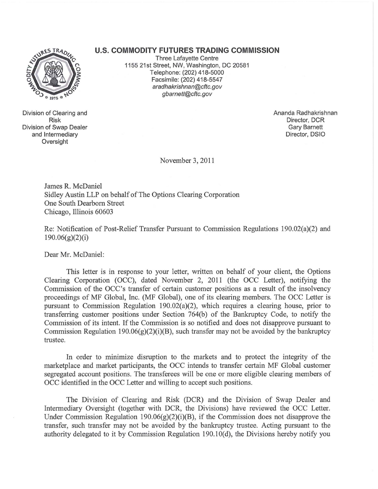## URES TRADE

Division of Clearing and Risk Division of Swap Dealer and Intermediary **Oversight** 

## **u.s. COMMODITY FUTURES TRADING COMMISSION**

Three Lafayette Centre 1155 21st Street, NW, Washington, DC 20581 Telephone: (202) 418-5000 Facsimile: (202) 418-5547 aradhakrishnan@cftc.gov gbarnett@cftc.gov

> Ananda Radhakrishnan Director, DCR Gary Barnett Director, DSIO

November 3,2011

James R. McDaniel Sidley Austin LLP on behalf of The Options Clearing Corporation One South Dearborn Street Chicago, Illinois 60603

Re: Notification of Post-Relief Transfer Pursuant to Commission Regulations 190.02(a)(2) and 190.06(g)(2)(i)

Dear Mr. McDaniel:

This letter is in response to your letter, written on behalf of your client, the Options Clearing Corporation (OCC), dated November 2, 2011 (the OCC Letter), notifying the Commission of the OCC's transfer of certain customer positions as a result of the insolvency proceedings of MF Global, Inc. (MF Global), one of its clearing members. The OCC Letter is pursuant to Commission Regulation 190.02(a)(2), which requires a clearing house, prior to transferring customer positions under Section 764(b) of the Bankruptcy Code, to notify the Commission of its intent. If the Commission is so notified and does not disapprove pursuant to Commission Regulation 190.06 $(g)(2)(i)(B)$ , such transfer may not be avoided by the bankruptcy trustee.

In order to minimize disruption to the markets and to protect the integrity of the marketplace and market participants, the OCC intends to transfer certain MF Global customer segregated account positions. The transferees will be one or more eligible clearing members of OCC identified in the OCC Letter and willing to accept such positions.

The Division of Clearing and Risk (DCR) and the Division of Swap Dealer and Intermediary Oversight (together with DCR, the Divisions) have reviewed the OCC Letter. Under Commission Regulation 190.06 $(g)(2)(i)(B)$ , if the Commission does not disapprove the transfer, such transfer may not be avoided by the bankruptcy trustee. Acting pursuant to the authority delegated to it by Commission Regulation 190.1 O(d), the Divisions hereby notify you